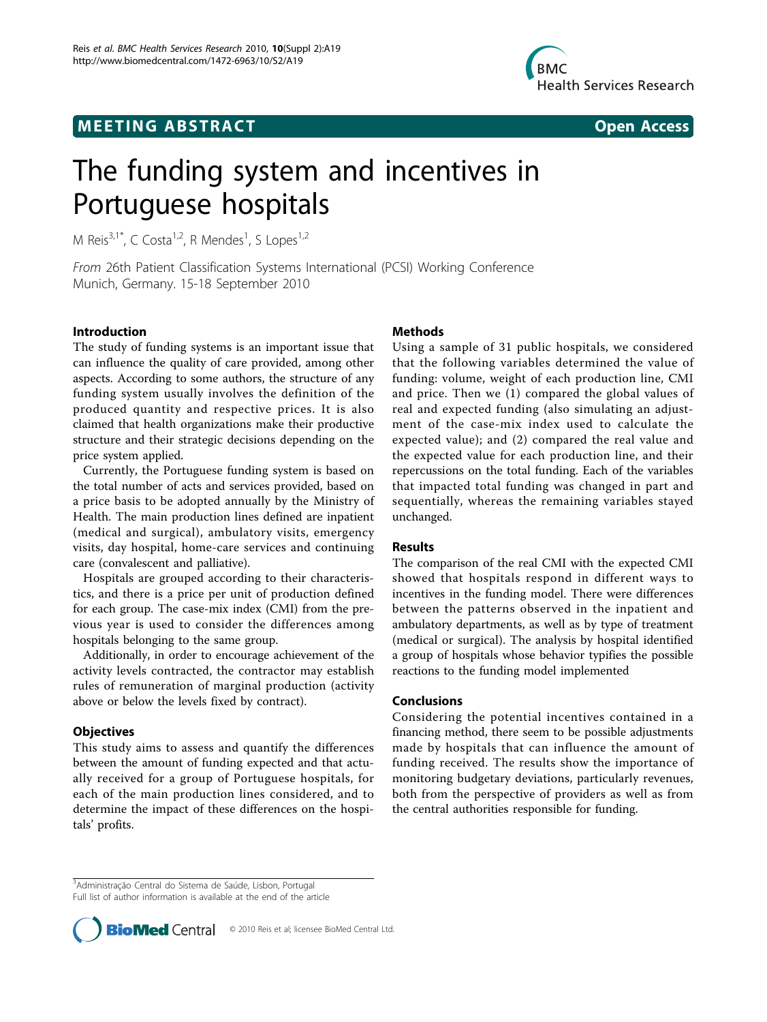## **MEETING ABSTRACT CONSUMING ABSTRACT**



# The funding system and incentives in Portuguese hospitals

M Reis<sup>3,1\*</sup>, C Costa<sup>1,2</sup>, R Mendes<sup>1</sup>, S Lopes<sup>1,2</sup>

From 26th Patient Classification Systems International (PCSI) Working Conference Munich, Germany. 15-18 September 2010

### Introduction

The study of funding systems is an important issue that can influence the quality of care provided, among other aspects. According to some authors, the structure of any funding system usually involves the definition of the produced quantity and respective prices. It is also claimed that health organizations make their productive structure and their strategic decisions depending on the price system applied.

Currently, the Portuguese funding system is based on the total number of acts and services provided, based on a price basis to be adopted annually by the Ministry of Health. The main production lines defined are inpatient (medical and surgical), ambulatory visits, emergency visits, day hospital, home-care services and continuing care (convalescent and palliative).

Hospitals are grouped according to their characteristics, and there is a price per unit of production defined for each group. The case-mix index (CMI) from the previous year is used to consider the differences among hospitals belonging to the same group.

Additionally, in order to encourage achievement of the activity levels contracted, the contractor may establish rules of remuneration of marginal production (activity above or below the levels fixed by contract).

#### **Objectives**

This study aims to assess and quantify the differences between the amount of funding expected and that actually received for a group of Portuguese hospitals, for each of the main production lines considered, and to determine the impact of these differences on the hospitals' profits.

#### Methods

Using a sample of 31 public hospitals, we considered that the following variables determined the value of funding: volume, weight of each production line, CMI and price. Then we (1) compared the global values of real and expected funding (also simulating an adjustment of the case-mix index used to calculate the expected value); and (2) compared the real value and the expected value for each production line, and their repercussions on the total funding. Each of the variables that impacted total funding was changed in part and sequentially, whereas the remaining variables stayed unchanged.

#### Results

The comparison of the real CMI with the expected CMI showed that hospitals respond in different ways to incentives in the funding model. There were differences between the patterns observed in the inpatient and ambulatory departments, as well as by type of treatment (medical or surgical). The analysis by hospital identified a group of hospitals whose behavior typifies the possible reactions to the funding model implemented

#### Conclusions

Considering the potential incentives contained in a financing method, there seem to be possible adjustments made by hospitals that can influence the amount of funding received. The results show the importance of monitoring budgetary deviations, particularly revenues, both from the perspective of providers as well as from the central authorities responsible for funding.

<sup>3</sup> Administração Central do Sistema de Saúde, Lisbon, Portugal Full list of author information is available at the end of the article